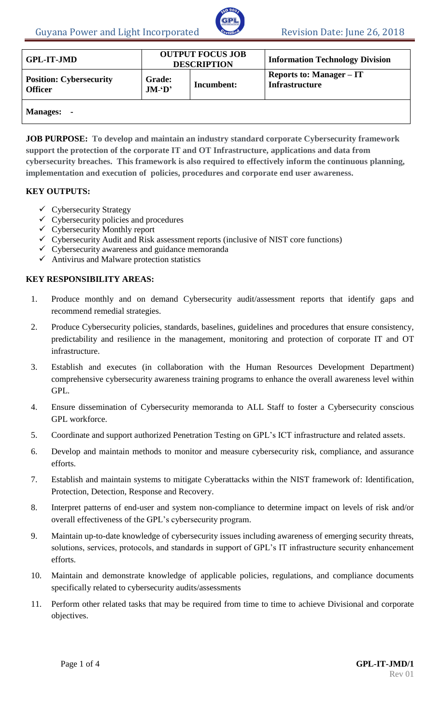

| <b>GPL-IT-JMD</b>                                | <b>OUTPUT FOCUS JOB</b><br><b>DESCRIPTION</b> |            | <b>Information Technology Division</b>                   |
|--------------------------------------------------|-----------------------------------------------|------------|----------------------------------------------------------|
| <b>Position: Cybersecurity</b><br><b>Officer</b> | <b>Grade:</b><br>JM·D'                        | Incumbent: | <b>Reports to: Manager – IT</b><br><b>Infrastructure</b> |
| <b>Manages:</b><br>$\blacksquare$                |                                               |            |                                                          |

**JOB PURPOSE: To develop and maintain an industry standard corporate Cybersecurity framework support the protection of the corporate IT and OT Infrastructure, applications and data from cybersecurity breaches. This framework is also required to effectively inform the continuous planning, implementation and execution of policies, procedures and corporate end user awareness.**

#### **KEY OUTPUTS:**

- $\checkmark$  Cybersecurity Strategy
- $\checkmark$  Cybersecurity policies and procedures
- Cybersecurity Monthly report
- $\checkmark$  Cybersecurity Audit and Risk assessment reports (inclusive of NIST core functions)
- $\checkmark$  Cybersecurity awareness and guidance memoranda
- $\checkmark$  Antivirus and Malware protection statistics

# **KEY RESPONSIBILITY AREAS:**

- 1. Produce monthly and on demand Cybersecurity audit/assessment reports that identify gaps and recommend remedial strategies.
- 2. Produce Cybersecurity policies, standards, baselines, guidelines and procedures that ensure consistency, predictability and resilience in the management, monitoring and protection of corporate IT and OT infrastructure.
- 3. Establish and executes (in collaboration with the Human Resources Development Department) comprehensive cybersecurity awareness training programs to enhance the overall awareness level within GPL.
- 4. Ensure dissemination of Cybersecurity memoranda to ALL Staff to foster a Cybersecurity conscious GPL workforce.
- 5. Coordinate and support authorized Penetration Testing on GPL's ICT infrastructure and related assets.
- 6. Develop and maintain methods to monitor and measure cybersecurity risk, compliance, and assurance efforts.
- 7. Establish and maintain systems to mitigate Cyberattacks within the NIST framework of: Identification, Protection, Detection, Response and Recovery.
- 8. Interpret patterns of end-user and system non-compliance to determine impact on levels of risk and/or overall effectiveness of the GPL's cybersecurity program.
- 9. Maintain up-to-date knowledge of cybersecurity issues including awareness of emerging security threats, solutions, services, protocols, and standards in support of GPL's IT infrastructure security enhancement efforts.
- 10. Maintain and demonstrate knowledge of applicable policies, regulations, and compliance documents specifically related to cybersecurity audits/assessments
- 11. Perform other related tasks that may be required from time to time to achieve Divisional and corporate objectives.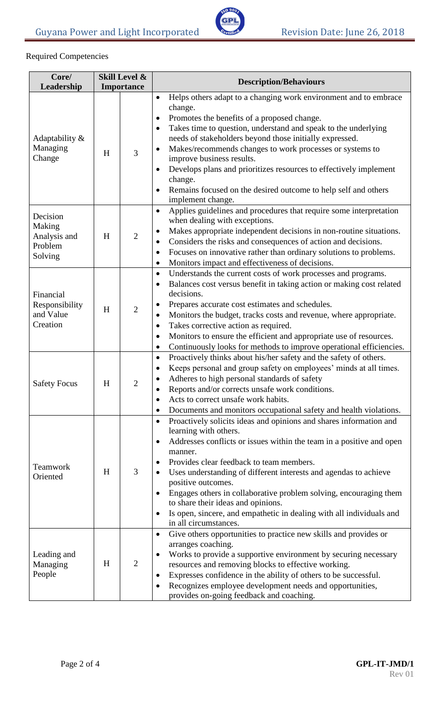

# Required Competencies

| Core/                                                    |   | Skill Level &  | <b>Description/Behaviours</b>                                                                                                                                                                                                                                                                                                                                                                                                                                                                                                                                                        |  |
|----------------------------------------------------------|---|----------------|--------------------------------------------------------------------------------------------------------------------------------------------------------------------------------------------------------------------------------------------------------------------------------------------------------------------------------------------------------------------------------------------------------------------------------------------------------------------------------------------------------------------------------------------------------------------------------------|--|
| Leadership                                               |   | Importance     |                                                                                                                                                                                                                                                                                                                                                                                                                                                                                                                                                                                      |  |
| Adaptability &<br>Managing<br>Change                     | H | 3              | Helps others adapt to a changing work environment and to embrace<br>$\bullet$<br>change.<br>Promotes the benefits of a proposed change.<br>٠<br>Takes time to question, understand and speak to the underlying<br>$\bullet$<br>needs of stakeholders beyond those initially expressed.<br>Makes/recommends changes to work processes or systems to<br>improve business results.<br>Develops plans and prioritizes resources to effectively implement<br>change.<br>Remains focused on the desired outcome to help self and others<br>$\bullet$<br>implement change.                  |  |
| Decision<br>Making<br>Analysis and<br>Problem<br>Solving | H | $\overline{2}$ | Applies guidelines and procedures that require some interpretation<br>$\bullet$<br>when dealing with exceptions.<br>Makes appropriate independent decisions in non-routine situations.<br>٠<br>Considers the risks and consequences of action and decisions.<br>$\bullet$<br>Focuses on innovative rather than ordinary solutions to problems.<br>٠<br>Monitors impact and effectiveness of decisions.<br>$\bullet$                                                                                                                                                                  |  |
| Financial<br>Responsibility<br>and Value<br>Creation     | H | $\overline{2}$ | Understands the current costs of work processes and programs.<br>$\bullet$<br>Balances cost versus benefit in taking action or making cost related<br>$\bullet$<br>decisions.<br>Prepares accurate cost estimates and schedules.<br>٠<br>Monitors the budget, tracks costs and revenue, where appropriate.<br>$\bullet$<br>Takes corrective action as required.<br>٠<br>Monitors to ensure the efficient and appropriate use of resources.<br>$\bullet$<br>Continuously looks for methods to improve operational efficiencies.<br>$\bullet$                                          |  |
| <b>Safety Focus</b>                                      | H | 2              | Proactively thinks about his/her safety and the safety of others.<br>$\bullet$<br>Keeps personal and group safety on employees' minds at all times.<br>$\bullet$<br>Adheres to high personal standards of safety<br>Reports and/or corrects unsafe work conditions.<br>Acts to correct unsafe work habits.<br>$\bullet$<br>Documents and monitors occupational safety and health violations.<br>٠                                                                                                                                                                                    |  |
| Teamwork<br>Oriented                                     | H | 3              | Proactively solicits ideas and opinions and shares information and<br>$\bullet$<br>learning with others.<br>Addresses conflicts or issues within the team in a positive and open<br>$\bullet$<br>manner.<br>Provides clear feedback to team members.<br>$\bullet$<br>Uses understanding of different interests and agendas to achieve<br>positive outcomes.<br>Engages others in collaborative problem solving, encouraging them<br>to share their ideas and opinions.<br>Is open, sincere, and empathetic in dealing with all individuals and<br>$\bullet$<br>in all circumstances. |  |
| Leading and<br>Managing<br>People                        | H | $\overline{2}$ | Give others opportunities to practice new skills and provides or<br>$\bullet$<br>arranges coaching.<br>Works to provide a supportive environment by securing necessary<br>$\bullet$<br>resources and removing blocks to effective working.<br>Expresses confidence in the ability of others to be successful.<br>٠<br>Recognizes employee development needs and opportunities,<br>$\bullet$<br>provides on-going feedback and coaching.                                                                                                                                              |  |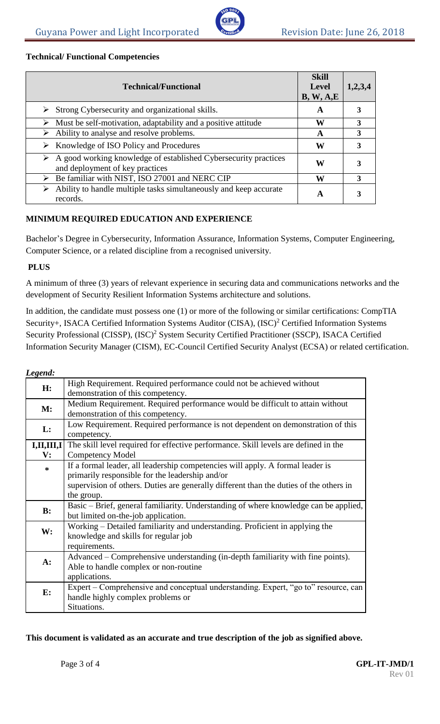

# **Technical/ Functional Competencies**

| <b>Technical/Functional</b>                                                                                         | <b>Skill</b><br><b>Level</b><br>B, W, A, E | 1,2,3,4 |
|---------------------------------------------------------------------------------------------------------------------|--------------------------------------------|---------|
| $\triangleright$ Strong Cybersecurity and organizational skills.                                                    | A                                          |         |
| Must be self-motivation, adaptability and a positive attitude                                                       | W                                          | 3       |
| Ability to analyse and resolve problems.<br>➤                                                                       | A                                          | 3       |
| $\triangleright$ Knowledge of ISO Policy and Procedures                                                             | W                                          | 3       |
| $\triangleright$ A good working knowledge of established Cybersecurity practices<br>and deployment of key practices | W                                          |         |
| Be familiar with NIST, ISO 27001 and NERC CIP<br>➤                                                                  | W                                          | 3       |
| Ability to handle multiple tasks simultaneously and keep accurate<br>records.                                       | A                                          |         |

# **MINIMUM REQUIRED EDUCATION AND EXPERIENCE**

Bachelor's Degree in Cybersecurity, Information Assurance, Information Systems, Computer Engineering, Computer Science, or a related discipline from a recognised university.

# **PLUS**

A minimum of three (3) years of relevant experience in securing data and communications networks and the development of Security Resilient Information Systems architecture and solutions.

In addition, the candidate must possess one (1) or more of the following or similar certifications: CompTIA Security+, ISACA Certified Information Systems Auditor (CISA), (ISC)<sup>2</sup> Certified Information Systems Security Professional (CISSP), (ISC)<sup>2</sup> System Security Certified Practitioner (SSCP), ISACA Certified Information Security Manager (CISM), EC-Council Certified Security Analyst (ECSA) or related certification.

| Legend:        |                                                                                        |
|----------------|----------------------------------------------------------------------------------------|
| H:             | High Requirement. Required performance could not be achieved without                   |
|                | demonstration of this competency.                                                      |
|                | Medium Requirement. Required performance would be difficult to attain without          |
| M:             | demonstration of this competency.                                                      |
|                | Low Requirement. Required performance is not dependent on demonstration of this        |
| L:             | competency.                                                                            |
| I, II, III, I  | The skill level required for effective performance. Skill levels are defined in the    |
| $\mathbf{V}$ : | <b>Competency Model</b>                                                                |
| $\ast$         | If a formal leader, all leadership competencies will apply. A formal leader is         |
|                | primarily responsible for the leadership and/or                                        |
|                | supervision of others. Duties are generally different than the duties of the others in |
|                | the group.                                                                             |
| B:             | Basic – Brief, general familiarity. Understanding of where knowledge can be applied,   |
|                | but limited on-the-job application.                                                    |
|                | Working – Detailed familiarity and understanding. Proficient in applying the           |
| W:             | knowledge and skills for regular job                                                   |
|                | requirements.                                                                          |
|                | Advanced – Comprehensive understanding (in-depth familiarity with fine points).        |
| $A$ :          | Able to handle complex or non-routine                                                  |
|                | applications.                                                                          |
|                | Expert – Comprehensive and conceptual understanding. Expert, "go to" resource, can     |
| E:             | handle highly complex problems or                                                      |
|                | Situations.                                                                            |

# **This document is validated as an accurate and true description of the job as signified above.**